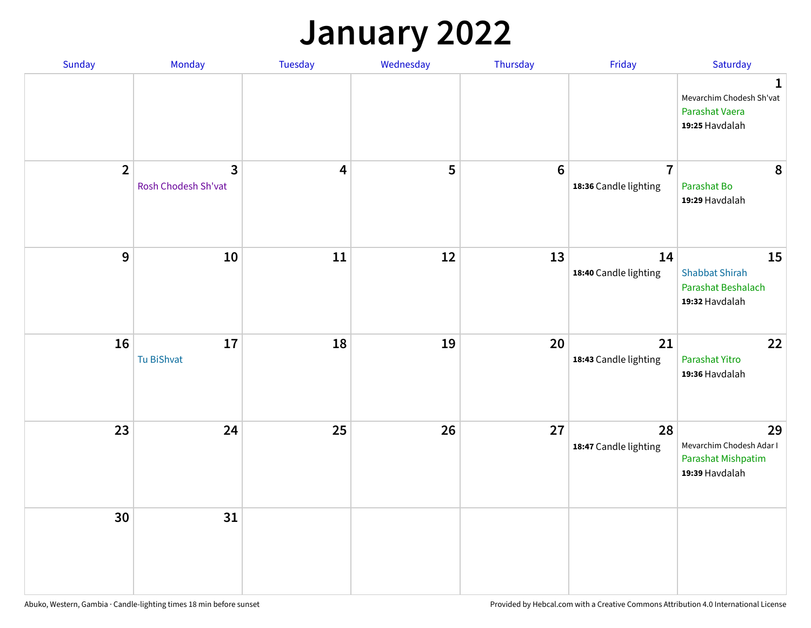## **January 2022**

| Sunday         | Monday                   | Tuesday                 | Wednesday | Thursday         | Friday                                  | Saturday                                                                     |
|----------------|--------------------------|-------------------------|-----------|------------------|-----------------------------------------|------------------------------------------------------------------------------|
|                |                          |                         |           |                  |                                         | $\mathbf{1}$<br>Mevarchim Chodesh Sh'vat<br>Parashat Vaera<br>19:25 Havdalah |
| $\overline{2}$ | 3<br>Rosh Chodesh Sh'vat | $\overline{\mathbf{4}}$ | 5         | $\boldsymbol{6}$ | $\overline{7}$<br>18:36 Candle lighting | 8<br>Parashat Bo<br>19:29 Havdalah                                           |
| $\mathbf 9$    | 10                       | ${\bf 11}$              | 12        | 13               | 14<br>18:40 Candle lighting             | 15<br><b>Shabbat Shirah</b><br>Parashat Beshalach<br>19:32 Havdalah          |
| 16             | 17<br>Tu BiShvat         | 18                      | 19        | 20               | 21<br>18:43 Candle lighting             | 22<br>Parashat Yitro<br>19:36 Havdalah                                       |
| 23             | 24                       | 25                      | 26        | 27               | 28<br>18:47 Candle lighting             | 29<br>Mevarchim Chodesh Adar I<br>Parashat Mishpatim<br>19:39 Havdalah       |
| 30             | 31                       |                         |           |                  |                                         |                                                                              |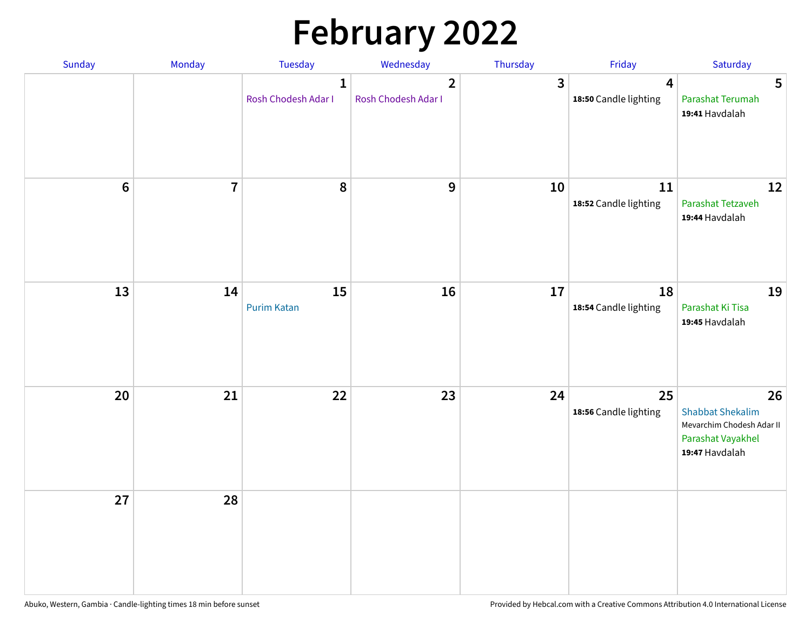# **February 2022**

| Sunday | Monday                  | <b>Tuesday</b>                      | Wednesday                             | Thursday | Friday                                           | Saturday                                                                                          |
|--------|-------------------------|-------------------------------------|---------------------------------------|----------|--------------------------------------------------|---------------------------------------------------------------------------------------------------|
|        |                         | $\mathbf{1}$<br>Rosh Chodesh Adar I | $\overline{2}$<br>Rosh Chodesh Adar I | 3        | $\overline{\mathbf{4}}$<br>18:50 Candle lighting | 5<br>Parashat Terumah<br>19:41 Havdalah                                                           |
| $6\,$  | $\overline{\mathbf{7}}$ | 8                                   | 9                                     | 10       | 11<br>18:52 Candle lighting                      | 12<br>Parashat Tetzaveh<br>19:44 Havdalah                                                         |
| 13     | 14                      | 15<br><b>Purim Katan</b>            | 16                                    | 17       | 18<br>18:54 Candle lighting                      | 19<br>Parashat Ki Tisa<br>19:45 Havdalah                                                          |
| 20     | 21                      | 22                                  | 23                                    | 24       | 25<br>18:56 Candle lighting                      | 26<br><b>Shabbat Shekalim</b><br>Mevarchim Chodesh Adar II<br>Parashat Vayakhel<br>19:47 Havdalah |
| 27     | 28                      |                                     |                                       |          |                                                  |                                                                                                   |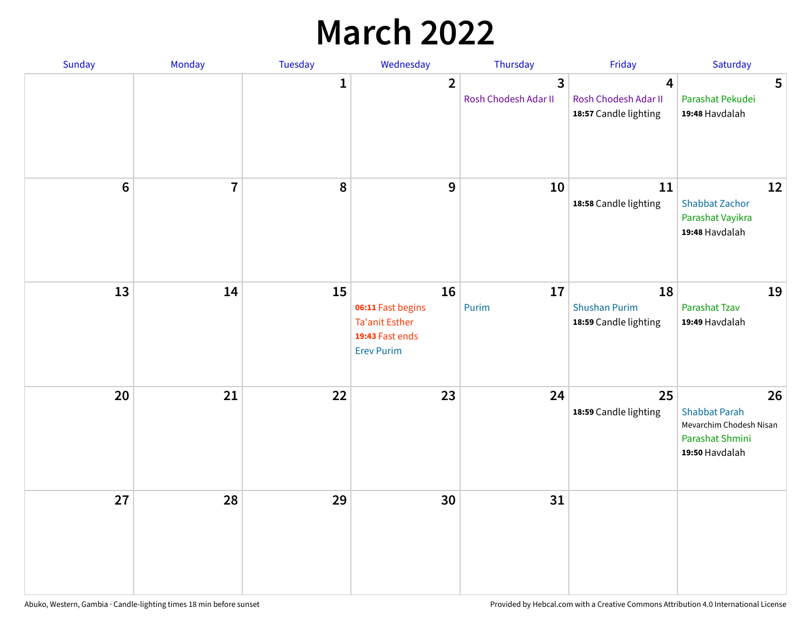## **March 2022**

| Sunday         | Monday         | <b>Tuesday</b> | Wednesday                                                                                | Thursday                  | Friday                                                                   | Saturday                                                                                   |
|----------------|----------------|----------------|------------------------------------------------------------------------------------------|---------------------------|--------------------------------------------------------------------------|--------------------------------------------------------------------------------------------|
|                |                | $\mathbf{1}$   | $\overline{2}$                                                                           | 3<br>Rosh Chodesh Adar II | $\overline{\mathbf{4}}$<br>Rosh Chodesh Adar II<br>18:57 Candle lighting | 5<br>Parashat Pekudei<br>19:48 Havdalah                                                    |
| $6\phantom{1}$ | $\overline{7}$ | 8              | $\mathbf 9$                                                                              | 10                        | 11<br>18:58 Candle lighting                                              | 12<br><b>Shabbat Zachor</b><br>Parashat Vayikra<br>19:48 Havdalah                          |
| 13             | 14             | 15             | 16<br>06:11 Fast begins<br><b>Ta'anit Esther</b><br>19:43 Fast ends<br><b>Erev Purim</b> | 17<br>Purim               | 18<br><b>Shushan Purim</b><br>18:59 Candle lighting                      | 19<br>Parashat Tzav<br>19:49 Havdalah                                                      |
| 20             | 21             | 22             | 23                                                                                       | 24                        | 25<br>18:59 Candle lighting                                              | 26<br><b>Shabbat Parah</b><br>Mevarchim Chodesh Nisan<br>Parashat Shmini<br>19:50 Havdalah |
| 27             | 28             | 29             | 30                                                                                       | 31                        |                                                                          |                                                                                            |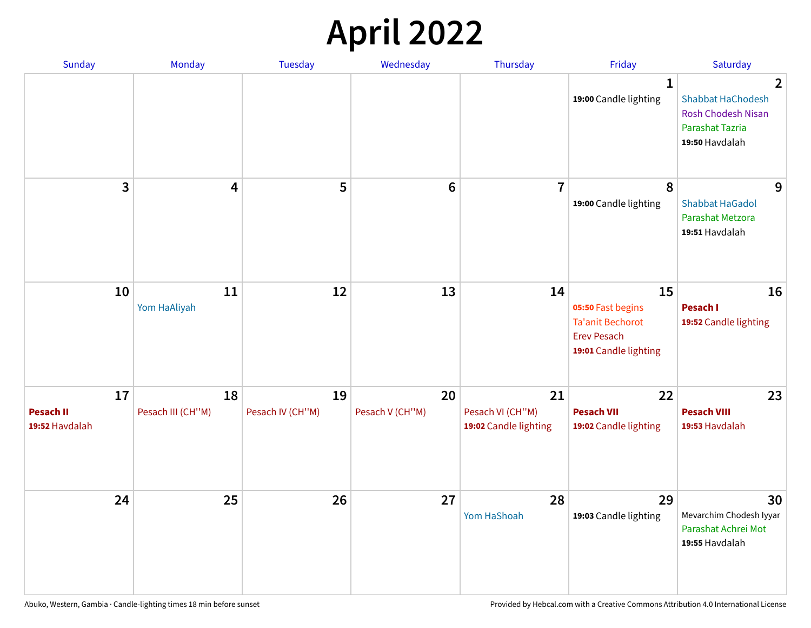## **April 2022**

| Sunday                                   | Monday                  | <b>Tuesday</b>         | Wednesday             | Thursday                                        | Friday                                                                                            | Saturday                                                                                                            |
|------------------------------------------|-------------------------|------------------------|-----------------------|-------------------------------------------------|---------------------------------------------------------------------------------------------------|---------------------------------------------------------------------------------------------------------------------|
|                                          |                         |                        |                       |                                                 | $\mathbf{1}$<br>19:00 Candle lighting                                                             | $\overline{2}$<br><b>Shabbat HaChodesh</b><br><b>Rosh Chodesh Nisan</b><br><b>Parashat Tazria</b><br>19:50 Havdalah |
| 3                                        | $\overline{\mathbf{4}}$ | 5                      | $6\phantom{1}6$       | $\overline{7}$                                  | 8<br>19:00 Candle lighting                                                                        | 9<br><b>Shabbat HaGadol</b><br>Parashat Metzora<br>19:51 Havdalah                                                   |
| 10                                       | 11<br>Yom HaAliyah      | 12                     | 13                    | 14                                              | 15<br>05:50 Fast begins<br><b>Ta'anit Bechorot</b><br><b>Erev Pesach</b><br>19:01 Candle lighting | 16<br>Pesach I<br>19:52 Candle lighting                                                                             |
| 17<br><b>Pesach II</b><br>19:52 Havdalah | 18<br>Pesach III (CH"M) | 19<br>Pesach IV (CH"M) | 20<br>Pesach V (CH"M) | 21<br>Pesach VI (CH"M)<br>19:02 Candle lighting | 22<br><b>Pesach VII</b><br>19:02 Candle lighting                                                  | 23<br><b>Pesach VIII</b><br>19:53 Havdalah                                                                          |
| 24                                       | 25                      | 26                     | 27                    | 28<br>Yom HaShoah                               | 29<br>19:03 Candle lighting                                                                       | 30<br>Mevarchim Chodesh Iyyar<br>Parashat Achrei Mot<br>19:55 Havdalah                                              |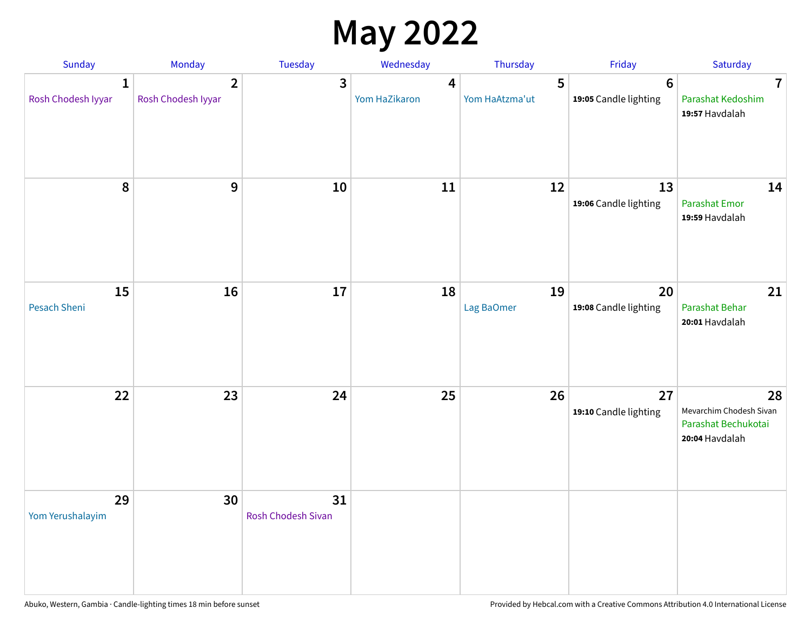## **May 2022**

| Sunday                             | Monday                               | Tuesday                         | Wednesday                                | Thursday            | Friday                                  | Saturday                                                               |
|------------------------------------|--------------------------------------|---------------------------------|------------------------------------------|---------------------|-----------------------------------------|------------------------------------------------------------------------|
| $\mathbf{1}$<br>Rosh Chodesh Iyyar | $\overline{2}$<br>Rosh Chodesh Iyyar | 3                               | $\overline{\mathbf{4}}$<br>Yom HaZikaron | 5<br>Yom HaAtzma'ut | $6\phantom{1}$<br>19:05 Candle lighting | $\overline{7}$<br>Parashat Kedoshim<br>19:57 Havdalah                  |
| 8                                  | 9                                    | 10                              | 11                                       | 12                  | 13<br>19:06 Candle lighting             | 14<br><b>Parashat Emor</b><br>19:59 Havdalah                           |
| 15<br>Pesach Sheni                 | 16                                   | 17                              | 18                                       | 19<br>Lag BaOmer    | 20<br>19:08 Candle lighting             | 21<br>Parashat Behar<br>20:01 Havdalah                                 |
| 22                                 | 23                                   | 24                              | 25                                       | 26                  | 27<br>19:10 Candle lighting             | 28<br>Mevarchim Chodesh Sivan<br>Parashat Bechukotai<br>20:04 Havdalah |
| 29<br>Yom Yerushalayim             | 30                                   | 31<br><b>Rosh Chodesh Sivan</b> |                                          |                     |                                         |                                                                        |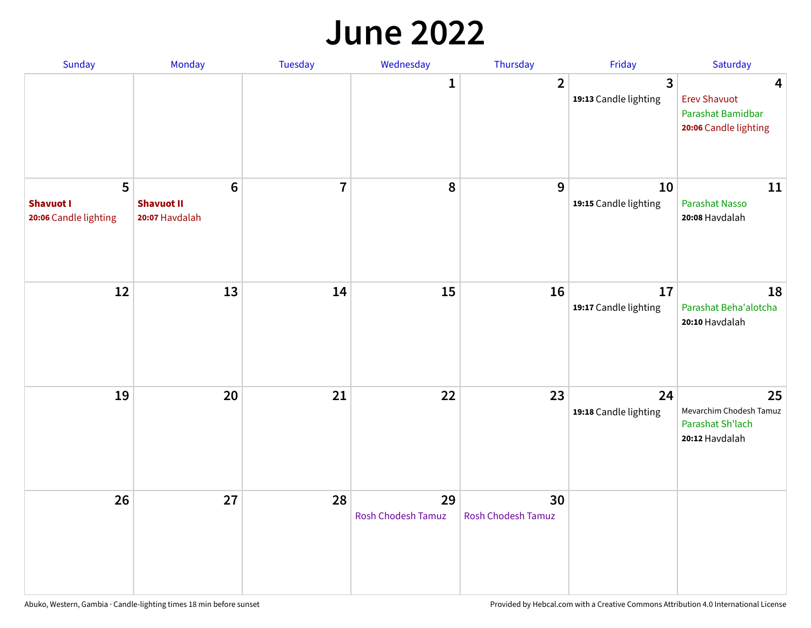#### **June 2022**

| Sunday                                         | Monday                                                | Tuesday        | Wednesday                       | Thursday                        | Friday                      | Saturday                                                               |
|------------------------------------------------|-------------------------------------------------------|----------------|---------------------------------|---------------------------------|-----------------------------|------------------------------------------------------------------------|
|                                                |                                                       |                | 1                               | $\overline{2}$                  | 3<br>19:13 Candle lighting  | 4<br><b>Erev Shavuot</b><br>Parashat Bamidbar<br>20:06 Candle lighting |
| 5<br><b>Shavuot I</b><br>20:06 Candle lighting | $6\phantom{1}$<br><b>Shavuot II</b><br>20:07 Havdalah | $\overline{7}$ | 8                               | 9                               | 10<br>19:15 Candle lighting | 11<br><b>Parashat Nasso</b><br>20:08 Havdalah                          |
| 12                                             | 13                                                    | 14             | 15                              | 16                              | 17<br>19:17 Candle lighting | 18<br>Parashat Beha'alotcha<br>20:10 Havdalah                          |
| 19                                             | 20                                                    | 21             | 22                              | 23                              | 24<br>19:18 Candle lighting | 25<br>Mevarchim Chodesh Tamuz<br>Parashat Sh'lach<br>20:12 Havdalah    |
| 26                                             | 27                                                    | 28             | 29<br><b>Rosh Chodesh Tamuz</b> | 30<br><b>Rosh Chodesh Tamuz</b> |                             |                                                                        |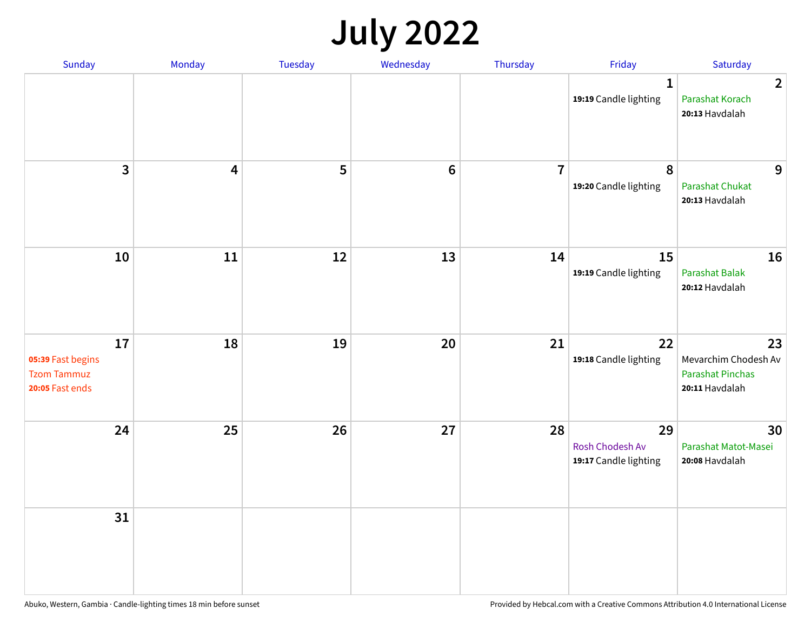## **July 2022**

| Sunday                                                           | Monday | Tuesday | Wednesday | Thursday       | Friday                                         | Saturday                                                                |
|------------------------------------------------------------------|--------|---------|-----------|----------------|------------------------------------------------|-------------------------------------------------------------------------|
|                                                                  |        |         |           |                | $\mathbf{1}$<br>19:19 Candle lighting          | $\overline{2}$<br>Parashat Korach<br>20:13 Havdalah                     |
| $\mathbf{3}$                                                     | 4      | 5       | $\bf 6$   | $\overline{7}$ | 8<br>19:20 Candle lighting                     | 9<br><b>Parashat Chukat</b><br>20:13 Havdalah                           |
| 10                                                               | 11     | 12      | 13        | 14             | 15<br>19:19 Candle lighting                    | 16<br>Parashat Balak<br>20:12 Havdalah                                  |
| 17<br>05:39 Fast begins<br><b>Tzom Tammuz</b><br>20:05 Fast ends | 18     | 19      | 20        | 21             | 22<br>19:18 Candle lighting                    | 23<br>Mevarchim Chodesh Av<br><b>Parashat Pinchas</b><br>20:11 Havdalah |
| 24                                                               | 25     | 26      | 27        | 28             | 29<br>Rosh Chodesh Av<br>19:17 Candle lighting | 30<br>Parashat Matot-Masei<br>20:08 Havdalah                            |
| 31                                                               |        |         |           |                |                                                |                                                                         |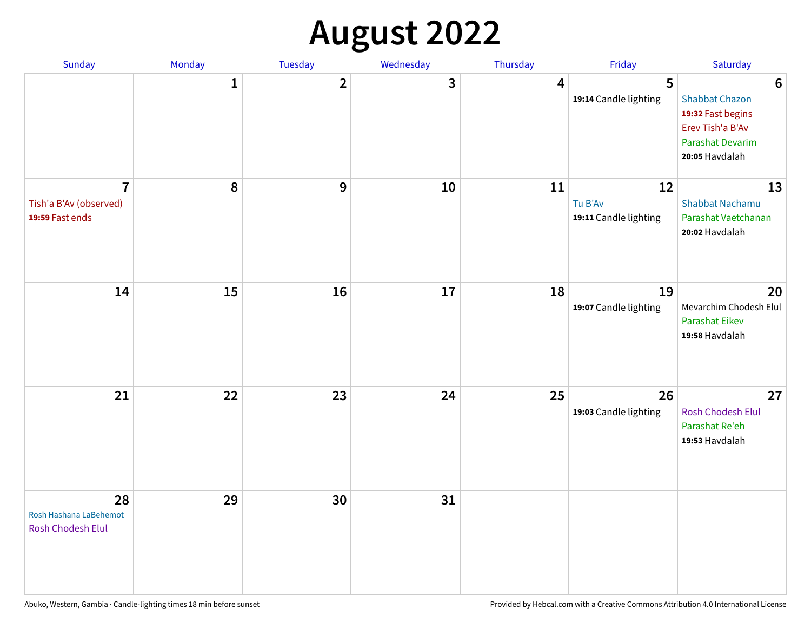## **August 2022**

| Sunday                                                      | Monday       | Tuesday      | Wednesday | Thursday | Friday                                 | Saturday                                                                                                                       |
|-------------------------------------------------------------|--------------|--------------|-----------|----------|----------------------------------------|--------------------------------------------------------------------------------------------------------------------------------|
|                                                             | $\mathbf{1}$ | $\mathbf{2}$ | 3         | 4        | 5<br>19:14 Candle lighting             | $6\phantom{1}6$<br><b>Shabbat Chazon</b><br>19:32 Fast begins<br>Erev Tish'a B'Av<br><b>Parashat Devarim</b><br>20:05 Havdalah |
| $\overline{7}$<br>Tish'a B'Av (observed)<br>19:59 Fast ends | 8            | 9            | 10        | 11       | 12<br>Tu B'Av<br>19:11 Candle lighting | 13<br><b>Shabbat Nachamu</b><br>Parashat Vaetchanan<br>20:02 Havdalah                                                          |
| 14                                                          | 15           | 16           | 17        | 18       | 19<br>19:07 Candle lighting            | 20<br>Mevarchim Chodesh Elul<br>Parashat Eikev<br>19:58 Havdalah                                                               |
| 21                                                          | 22           | 23           | 24        | 25       | 26<br>19:03 Candle lighting            | 27<br>Rosh Chodesh Elul<br>Parashat Re'eh<br>19:53 Havdalah                                                                    |
| 28<br>Rosh Hashana LaBehemot<br>Rosh Chodesh Elul           | 29           | 30           | 31        |          |                                        |                                                                                                                                |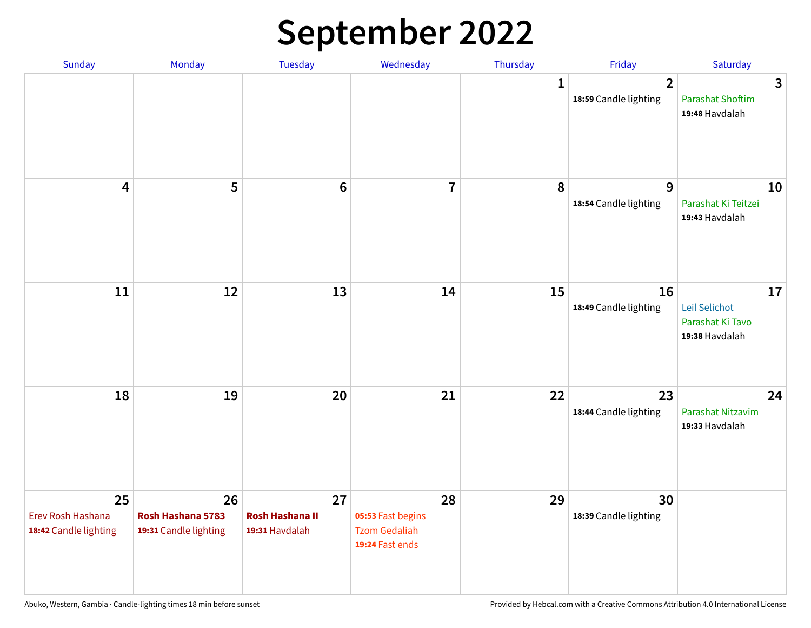## **September 2022**

| Sunday                                           | Monday                                           | Tuesday                                        | Wednesday                                                          | Thursday     | Friday                                  | Saturday                                                  |
|--------------------------------------------------|--------------------------------------------------|------------------------------------------------|--------------------------------------------------------------------|--------------|-----------------------------------------|-----------------------------------------------------------|
|                                                  |                                                  |                                                |                                                                    | $\mathbf{1}$ | $\overline{2}$<br>18:59 Candle lighting | 3<br><b>Parashat Shoftim</b><br>19:48 Havdalah            |
| $\overline{\mathbf{4}}$                          | 5                                                | $6\phantom{1}6$                                | $\overline{7}$                                                     | 8            | 9<br>18:54 Candle lighting              | 10<br>Parashat Ki Teitzei<br>19:43 Havdalah               |
| $11\,$                                           | 12                                               | 13                                             | 14                                                                 | 15           | 16<br>18:49 Candle lighting             | 17<br>Leil Selichot<br>Parashat Ki Tavo<br>19:38 Havdalah |
| 18                                               | 19                                               | 20                                             | 21                                                                 | 22           | 23<br>18:44 Candle lighting             | 24<br>Parashat Nitzavim<br>19:33 Havdalah                 |
| 25<br>Erev Rosh Hashana<br>18:42 Candle lighting | 26<br>Rosh Hashana 5783<br>19:31 Candle lighting | 27<br><b>Rosh Hashana II</b><br>19:31 Havdalah | 28<br>05:53 Fast begins<br><b>Tzom Gedaliah</b><br>19:24 Fast ends | 29           | 30<br>18:39 Candle lighting             |                                                           |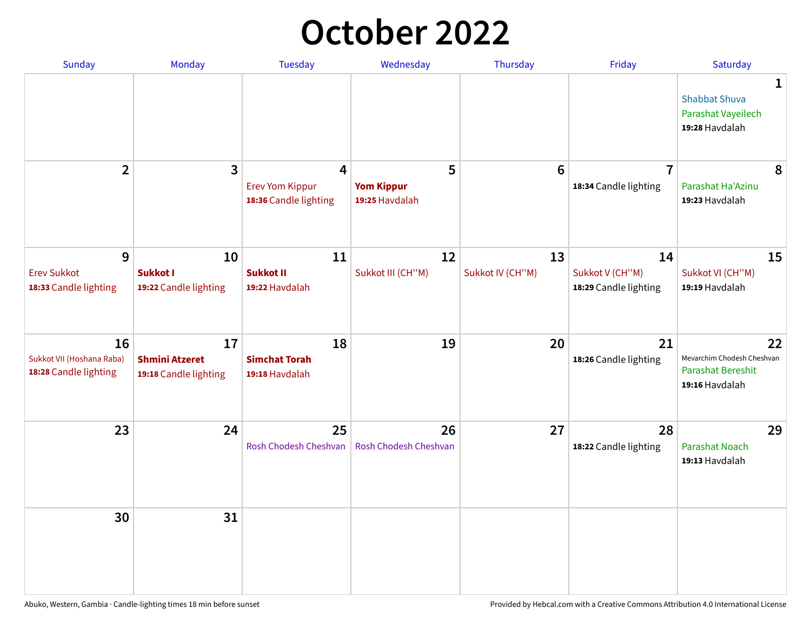## **October 2022**

| Sunday                                                   | Monday                                               | <b>Tuesday</b>                                       | Wednesday                                | Thursday               | Friday                                         | Saturday                                                                       |
|----------------------------------------------------------|------------------------------------------------------|------------------------------------------------------|------------------------------------------|------------------------|------------------------------------------------|--------------------------------------------------------------------------------|
|                                                          |                                                      |                                                      |                                          |                        |                                                | $\mathbf{1}$<br><b>Shabbat Shuva</b><br>Parashat Vayeilech<br>19:28 Havdalah   |
| $\overline{2}$                                           | $\mathbf{3}$                                         | 4<br><b>Erev Yom Kippur</b><br>18:36 Candle lighting | 5<br><b>Yom Kippur</b><br>19:25 Havdalah | $6\phantom{1}6$        | $\overline{7}$<br>18:34 Candle lighting        | 8<br>Parashat Ha'Azinu<br>19:23 Havdalah                                       |
| 9<br><b>Erev Sukkot</b><br>18:33 Candle lighting         | 10<br><b>Sukkot I</b><br>19:22 Candle lighting       | 11<br><b>Sukkot II</b><br>19:22 Havdalah             | 12<br>Sukkot III (CH"M)                  | 13<br>Sukkot IV (CH"M) | 14<br>Sukkot V (CH"M)<br>18:29 Candle lighting | 15<br>Sukkot VI (CH"M)<br>19:19 Havdalah                                       |
| 16<br>Sukkot VII (Hoshana Raba)<br>18:28 Candle lighting | 17<br><b>Shmini Atzeret</b><br>19:18 Candle lighting | 18<br><b>Simchat Torah</b><br>19:18 Havdalah         | 19                                       | 20                     | 21<br>18:26 Candle lighting                    | 22<br>Mevarchim Chodesh Cheshvan<br><b>Parashat Bereshit</b><br>19:16 Havdalah |
| 23                                                       | 24                                                   | 25<br>Rosh Chodesh Cheshvan                          | 26<br>Rosh Chodesh Cheshvan              | 27                     | 28<br>18:22 Candle lighting                    | 29<br><b>Parashat Noach</b><br>19:13 Havdalah                                  |
| 30                                                       | 31                                                   |                                                      |                                          |                        |                                                |                                                                                |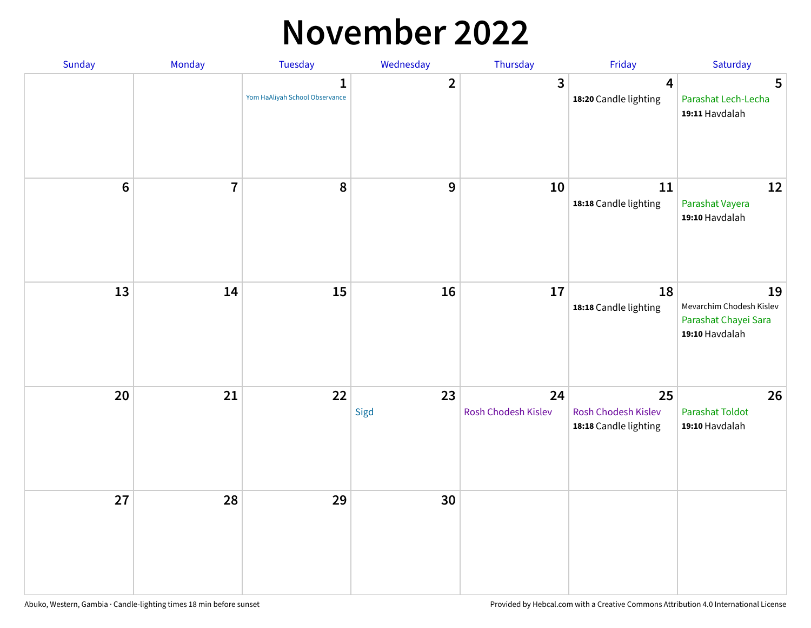#### **November 2022**

| Sunday  | Monday         | <b>Tuesday</b>                                 | Wednesday        | Thursday                  | Friday                                             | Saturday                                                                 |
|---------|----------------|------------------------------------------------|------------------|---------------------------|----------------------------------------------------|--------------------------------------------------------------------------|
|         |                | $\mathbf{1}$<br>Yom HaAliyah School Observance | $\overline{2}$   | $\mathbf{3}$              | $\overline{\mathbf{4}}$<br>18:20 Candle lighting   | 5<br>Parashat Lech-Lecha<br>19:11 Havdalah                               |
| $\bf 6$ | $\overline{7}$ | 8                                              | $\boldsymbol{9}$ | 10                        | 11<br>18:18 Candle lighting                        | 12<br>Parashat Vayera<br>19:10 Havdalah                                  |
| 13      | 14             | 15                                             | 16               | 17                        | 18<br>18:18 Candle lighting                        | 19<br>Mevarchim Chodesh Kislev<br>Parashat Chayei Sara<br>19:10 Havdalah |
| 20      | 21             | 22                                             | 23<br>Sigd       | 24<br>Rosh Chodesh Kislev | 25<br>Rosh Chodesh Kislev<br>18:18 Candle lighting | 26<br><b>Parashat Toldot</b><br>19:10 Havdalah                           |
| 27      | 28             | 29                                             | 30               |                           |                                                    |                                                                          |